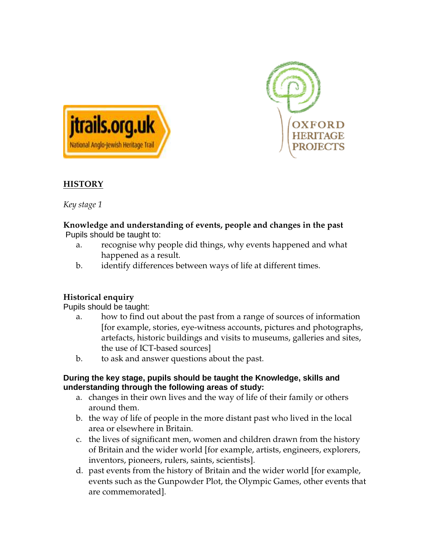



## **HISTORY**

*Key stage 1* 

#### **Knowledge and understanding of events, people and changes in the past** Pupils should be taught to:

- a. recognise why people did things, why events happened and what happened as a result.
- b. identify differences between ways of life at different times.

# **Historical enquiry**

Pupils should be taught:

- a. how to find out about the past from a range of sources of information [for example, stories, eye-witness accounts, pictures and photographs, artefacts, historic buildings and visits to museums, galleries and sites, the use of ICT-based sources]
- b. to ask and answer questions about the past.

#### **During the key stage, pupils should be taught the Knowledge, skills and understanding through the following areas of study:**

- a. changes in their own lives and the way of life of their family or others around them.
- b. the way of life of people in the more distant past who lived in the local area or elsewhere in Britain.
- c. the lives of significant men, women and children drawn from the history of Britain and the wider world [for example, artists, engineers, explorers, inventors, pioneers, rulers, saints, scientists].
- d. past events from the history of Britain and the wider world [for example, events such as the Gunpowder Plot, the Olympic Games, other events that are commemorated].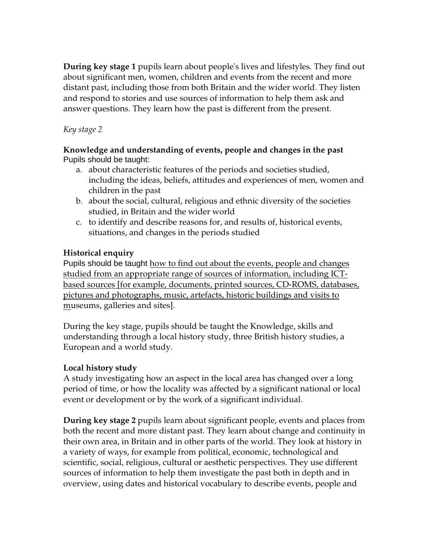**During key stage 1** pupils learn about people's lives and lifestyles. They find out about significant men, women, children and events from the recent and more distant past, including those from both Britain and the wider world. They listen and respond to stories and use sources of information to help them ask and answer questions. They learn how the past is different from the present.

#### *Key stage 2*

#### **Knowledge and understanding of events, people and changes in the past** Pupils should be taught:

- a. about characteristic features of the periods and societies studied, including the ideas, beliefs, attitudes and experiences of men, women and children in the past
- b. about the social, cultural, religious and ethnic diversity of the societies studied, in Britain and the wider world
- c. to identify and describe reasons for, and results of, historical events, situations, and changes in the periods studied

## **Historical enquiry**

Pupils should be taught how to find out about the events, people and changes studied from an appropriate range of sources of information, including ICTbased sources [for example, documents, printed sources, CD-ROMS, databases, pictures and photographs, music, artefacts, historic buildings and visits to museums, galleries and sites].

During the key stage, pupils should be taught the Knowledge, skills and understanding through a local history study, three British history studies, a European and a world study.

# **Local history study**

A study investigating how an aspect in the local area has changed over a long period of time, or how the locality was affected by a significant national or local event or development or by the work of a significant individual.

**During key stage 2** pupils learn about significant people, events and places from both the recent and more distant past. They learn about change and continuity in their own area, in Britain and in other parts of the world. They look at history in a variety of ways, for example from political, economic, technological and scientific, social, religious, cultural or aesthetic perspectives. They use different sources of information to help them investigate the past both in depth and in overview, using dates and historical vocabulary to describe events, people and